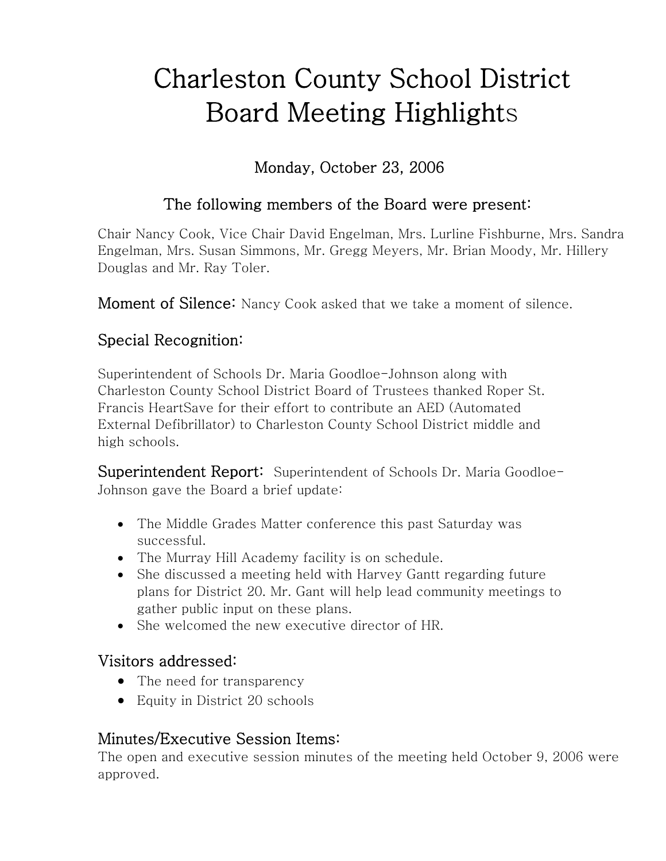# Charleston County School District Board Meeting Highlights

# Monday, October 23, 2006

## The following members of the Board were present:

Chair Nancy Cook, Vice Chair David Engelman, Mrs. Lurline Fishburne, Mrs. Sandra Engelman, Mrs. Susan Simmons, Mr. Gregg Meyers, Mr. Brian Moody, Mr. Hillery Douglas and Mr. Ray Toler.

Moment of Silence: Nancy Cook asked that we take a moment of silence.

## Special Recognition:

Superintendent of Schools Dr. Maria Goodloe-Johnson along with Charleston County School District Board of Trustees thanked Roper St. Francis HeartSave for their effort to contribute an AED (Automated External Defibrillator) to Charleston County School District middle and high schools.

Superintendent Report: Superintendent of Schools Dr. Maria Goodloe-Johnson gave the Board a brief update:

- The Middle Grades Matter conference this past Saturday was successful.
- The Murray Hill Academy facility is on schedule.
- She discussed a meeting held with Harvey Gantt regarding future plans for District 20. Mr. Gant will help lead community meetings to gather public input on these plans.
- She welcomed the new executive director of HR.

#### Visitors addressed:

- The need for transparency
- Equity in District 20 schools

#### Minutes/Executive Session Items:

The open and executive session minutes of the meeting held October 9, 2006 were approved.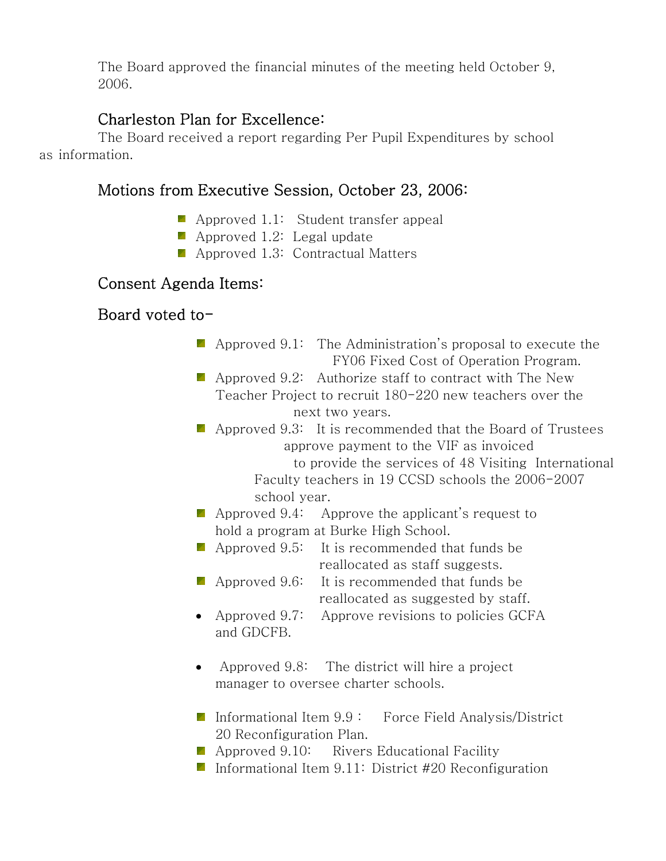The Board approved the financial minutes of the meeting held October 9, 2006.

## Charleston Plan for Excellence:

 The Board received a report regarding Per Pupil Expenditures by school as information.

## Motions from Executive Session, October 23, 2006:

- **Approved 1.1:** Student transfer appeal
- Approved 1.2: Legal update
- **Approved 1.3: Contractual Matters**

# Consent Agenda Items:

## Board voted to-

- **Approved 9.1:** The Administration's proposal to execute the FY06 Fixed Cost of Operation Program.
- Approved 9.2: Authorize staff to contract with The New Teacher Project to recruit 180-220 new teachers over the next two years.
- **Approved 9.3:** It is recommended that the Board of Trustees approve payment to the VIF as invoiced to provide the services of 48 Visiting International Faculty teachers in 19 CCSD schools the 2006-2007 school year.
- **Approved 9.4:** Approve the applicant's request to hold a program at Burke High School.
- Approved 9.5: It is recommended that funds be reallocated as staff suggests.
- Approved 9.6: It is recommended that funds be reallocated as suggested by staff.
- Approved 9.7: Approve revisions to policies GCFA and GDCFB.
- Approved 9.8: The district will hire a project manager to oversee charter schools.
- Informational Item  $9.9$ : Force Field Analysis/District 20 Reconfiguration Plan.
- **Approved 9.10:** Rivers Educational Facility
- Informational Item  $9.11$ : District #20 Reconfiguration